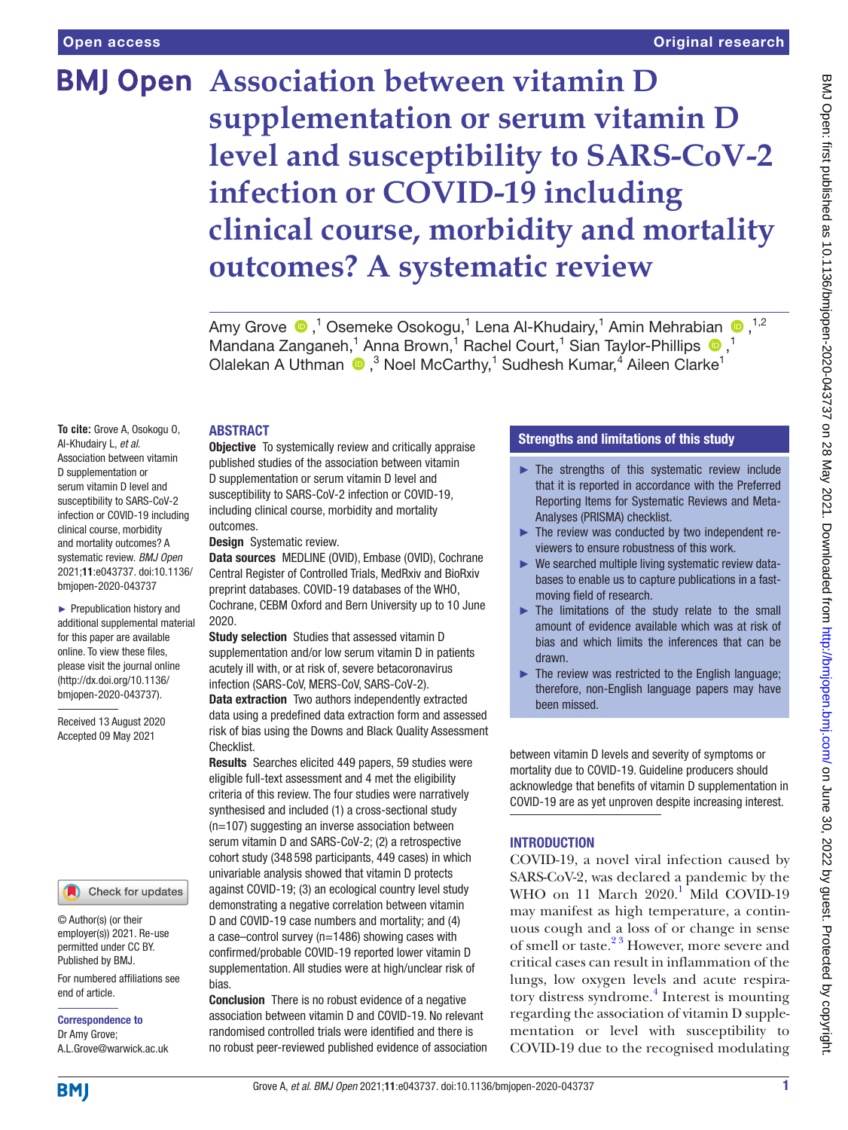# **BMJ Open Association between vitamin D supplementation or serum vitamin D level and susceptibility to SARS-CoV-2 infection or COVID-19 including clinical course, morbidity and mortality outcomes? A systematic review**

Amy Grove  $\bigcirc$ ,<sup>1</sup> Osemeke Osokogu,<sup>1</sup> Lena Al-Khudairy,<sup>1</sup> Amin Mehrabian  $\bigcirc$ ,<sup>1,2</sup> MandanaZanganeh,<sup>1</sup> Anna Brown,<sup>1</sup> Rachel Court,<sup>1</sup> Sian Taylor-Phillips <sup>1</sup>,<sup>1</sup> Olalekan A Uthman  $\bigcirc$ ,<sup>3</sup> Noel McCarthy,<sup>1</sup> Sudhesh Kumar,<sup>4</sup> Aileen Clarke<sup>1</sup>

# ABSTRACT

**To cite:** Grove A, Osokogu O, Al-Khudairy L, *et al*. Association between vitamin D supplementation or serum vitamin D level and susceptibility to SARS-CoV-2 infection or COVID-19 including clinical course, morbidity and mortality outcomes? A systematic review. *BMJ Open* 2021;11:e043737. doi:10.1136/ bmjopen-2020-043737

► Prepublication history and additional supplemental material for this paper are available online. To view these files, please visit the journal online [\(http://dx.doi.org/10.1136/](http://dx.doi.org/10.1136/bmjopen-2020-043737) [bmjopen-2020-043737](http://dx.doi.org/10.1136/bmjopen-2020-043737)).

Received 13 August 2020 Accepted 09 May 2021

# Check for updates

© Author(s) (or their employer(s)) 2021. Re-use permitted under CC BY. Published by BMJ.

For numbered affiliations see end of article.

Correspondence to Dr Amy Grove; A.L.Grove@warwick.ac.uk **Objective** To systemically review and critically appraise published studies of the association between vitamin D supplementation or serum vitamin D level and susceptibility to SARS-CoV-2 infection or COVID-19, including clinical course, morbidity and mortality outcomes.

Design Systematic review.

Data sources MEDLINE (OVID), Embase (OVID), Cochrane Central Register of Controlled Trials, MedRxiv and BioRxiv preprint databases. COVID-19 databases of the WHO, Cochrane, CEBM Oxford and Bern University up to 10 June 2020.

Study selection Studies that assessed vitamin D supplementation and/or low serum vitamin D in patients acutely ill with, or at risk of, severe betacoronavirus infection (SARS-CoV, MERS-CoV, SARS-CoV-2).

Data extraction Two authors independently extracted data using a predefined data extraction form and assessed risk of bias using the Downs and Black Quality Assessment Checklist.

Results Searches elicited 449 papers, 59 studies were eligible full-text assessment and 4 met the eligibility criteria of this review. The four studies were narratively synthesised and included (1) a cross-sectional study (n=107) suggesting an inverse association between serum vitamin D and SARS-CoV-2; (2) a retrospective cohort study (348 598 participants, 449 cases) in which univariable analysis showed that vitamin D protects against COVID-19; (3) an ecological country level study demonstrating a negative correlation between vitamin D and COVID-19 case numbers and mortality; and (4) a case–control survey (n=1486) showing cases with confirmed/probable COVID-19 reported lower vitamin D supplementation. All studies were at high/unclear risk of bias.

Conclusion There is no robust evidence of a negative association between vitamin D and COVID-19. No relevant randomised controlled trials were identified and there is no robust peer-reviewed published evidence of association

# Strengths and limitations of this study

- ► The strengths of this systematic review include that it is reported in accordance with the Preferred Reporting Items for Systematic Reviews and Meta-Analyses (PRISMA) checklist.
- ► The review was conducted by two independent reviewers to ensure robustness of this work.
- ► We searched multiple living systematic review databases to enable us to capture publications in a fastmoving field of research.
- ► The limitations of the study relate to the small amount of evidence available which was at risk of bias and which limits the inferences that can be drawn.
- $\blacktriangleright$  The review was restricted to the English language; therefore, non-English language papers may have been missed.

between vitamin D levels and severity of symptoms or mortality due to COVID-19. Guideline producers should acknowledge that benefits of vitamin D supplementation in COVID-19 are as yet unproven despite increasing interest.

# INTRODUCTION

COVID-19, a novel viral infection caused by SARS-CoV-2, was declared a pandemic by the WHO on [1](#page-6-0)1 March 2020.<sup>1</sup> Mild COVID-19 may manifest as high temperature, a continuous cough and a loss of or change in sense of smell or taste.<sup>23</sup> However, more severe and critical cases can result in inflammation of the lungs, low oxygen levels and acute respira-tory distress syndrome.<sup>[4](#page-6-2)</sup> Interest is mounting regarding the association of vitamin D supplementation or level with susceptibility to COVID-19 due to the recognised modulating

**BMI**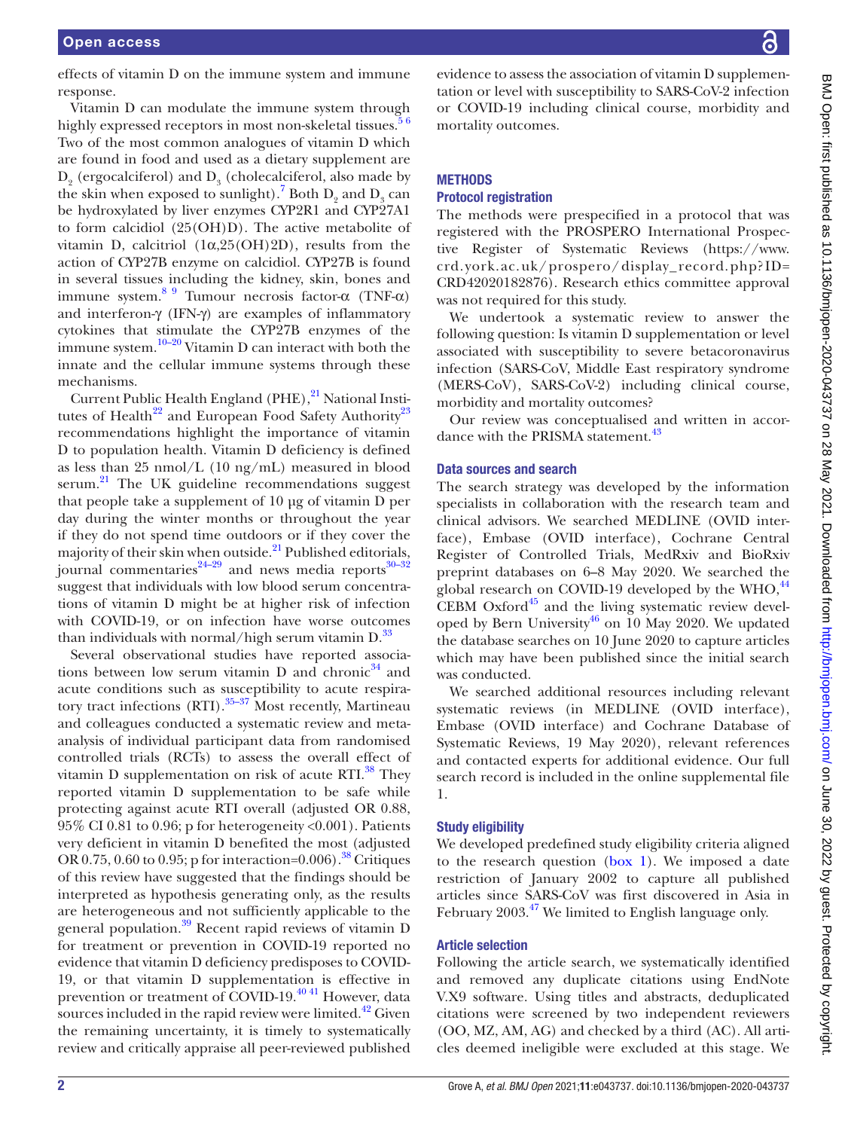effects of vitamin D on the immune system and immune response.

Vitamin D can modulate the immune system through highly expressed receptors in most non-skeletal tissues.<sup>56</sup> Two of the most common analogues of vitamin D which are found in food and used as a dietary supplement are  $D_2$  (ergocalciferol) and  $D_3$  (cholecalciferol, also made by the skin when exposed to sunlight).<sup>[7](#page-6-4)</sup> Both  $D_2$  and  $D_3$  can be hydroxylated by liver enzymes CYP2R1 and CYP27A1 to form calcidiol (25(OH)D). The active metabolite of vitamin D, calcitriol (1α,25(OH)2D), results from the action of CYP27B enzyme on calcidiol. CYP27B is found in several tissues including the kidney, skin, bones and immune system.<sup>[8 9](#page-6-5)</sup> Tumour necrosis factor-α (TNF-α) and interferon-γ (IFN-γ) are examples of inflammatory cytokines that stimulate the CYP27B enzymes of the immune system.<sup>10–20</sup> Vitamin D can interact with both the innate and the cellular immune systems through these mechanisms.

Current Public Health England (PHE),<sup>[21](#page-7-0)</sup> National Insti-tutes of Health<sup>[22](#page-7-1)</sup> and European Food Safety Authority<sup>23</sup> recommendations highlight the importance of vitamin D to population health. Vitamin D deficiency is defined as less than 25 nmol/L (10 ng/mL) measured in blood serum.<sup>21</sup> The UK guideline recommendations suggest that people take a supplement of 10 μg of vitamin D per day during the winter months or throughout the year if they do not spend time outdoors or if they cover the majority of their skin when outside. $^{21}$  Published editorials, journal commentaries $24-29$  and news media reports $30-32$ suggest that individuals with low blood serum concentrations of vitamin D might be at higher risk of infection with COVID-19, or on infection have worse outcomes than individuals with normal/high serum vitamin  $D^{33}$  $D^{33}$  $D^{33}$ .

Several observational studies have reported associations between low serum vitamin D and chronic $34$  and acute conditions such as susceptibility to acute respira-tory tract infections (RTI).<sup>[35–37](#page-7-7)</sup> Most recently, Martineau and colleagues conducted a systematic review and metaanalysis of individual participant data from randomised controlled trials (RCTs) to assess the overall effect of vitamin D supplementation on risk of acute RTI.<sup>[38](#page-7-8)</sup> They reported vitamin D supplementation to be safe while protecting against acute RTI overall (adjusted OR 0.88, 95% CI 0.81 to 0.96; p for heterogeneity <0.001). Patients very deficient in vitamin D benefited the most (adjusted OR  $0.75$ ,  $0.60$  to  $0.95$ ; p for interaction=0.006).<sup>38</sup> Critiques of this review have suggested that the findings should be interpreted as hypothesis generating only, as the results are heterogeneous and not sufficiently applicable to the general population.<sup>[39](#page-7-9)</sup> Recent rapid reviews of vitamin D for treatment or prevention in COVID-19 reported no evidence that vitamin D deficiency predisposes to COVID-19, or that vitamin D supplementation is effective in prevention or treatment of COVID-19.<sup>[40 41](#page-7-10)</sup> However, data sources included in the rapid review were limited. $42^2$  Given the remaining uncertainty, it is timely to systematically review and critically appraise all peer-reviewed published

# **METHODS**

# Protocol registration

mortality outcomes.

The methods were prespecified in a protocol that was registered with the PROSPERO International Prospective Register of Systematic Reviews ([https://www.](https://www.crd.york.ac.uk/prospero/display_record.php?ID=CRD42020182876) crd. [york.ac.uk/prospero/display\\_record.php?](https://www.crd.york.ac.uk/prospero/display_record.php?ID=CRD42020182876) ID= [CRD42020182876\)](https://www.crd.york.ac.uk/prospero/display_record.php?ID=CRD42020182876). Research ethics committee approval was not required for this study.

We undertook a systematic review to answer the following question: Is vitamin D supplementation or level associated with susceptibility to severe betacoronavirus infection (SARS-CoV, Middle East respiratory syndrome (MERS-CoV), SARS-CoV-2) including clinical course, morbidity and mortality outcomes?

Our review was conceptualised and written in accor-dance with the PRISMA statement.<sup>[43](#page-7-12)</sup>

#### Data sources and search

The search strategy was developed by the information specialists in collaboration with the research team and clinical advisors. We searched MEDLINE (OVID interface), Embase (OVID interface), Cochrane Central Register of Controlled Trials, MedRxiv and BioRxiv preprint databases on 6–8 May 2020. We searched the global research on COVID-19 developed by the WHO, $^{44}$  $^{44}$  $^{44}$ CEBM Oxford $45$  and the living systematic review developed by Bern University<sup>46</sup> on 10 May 2020. We updated the database searches on 10 June 2020 to capture articles which may have been published since the initial search was conducted.

We searched additional resources including relevant systematic reviews (in MEDLINE (OVID interface), Embase (OVID interface) and Cochrane Database of Systematic Reviews, 19 May 2020), relevant references and contacted experts for additional evidence. Our full search record is included in the [online supplemental file](https://dx.doi.org/10.1136/bmjopen-2020-043737)  [1](https://dx.doi.org/10.1136/bmjopen-2020-043737).

# Study eligibility

We developed predefined study eligibility criteria aligned to the research question [\(box](#page-2-0) 1). We imposed a date restriction of January 2002 to capture all published articles since SARS-CoV was first discovered in Asia in February 2003.<sup>47</sup> We limited to English language only.

# Article selection

Following the article search, we systematically identified and removed any duplicate citations using EndNote V.X9 software. Using titles and abstracts, deduplicated citations were screened by two independent reviewers (OO, MZ, AM, AG) and checked by a third (AC). All articles deemed ineligible were excluded at this stage. We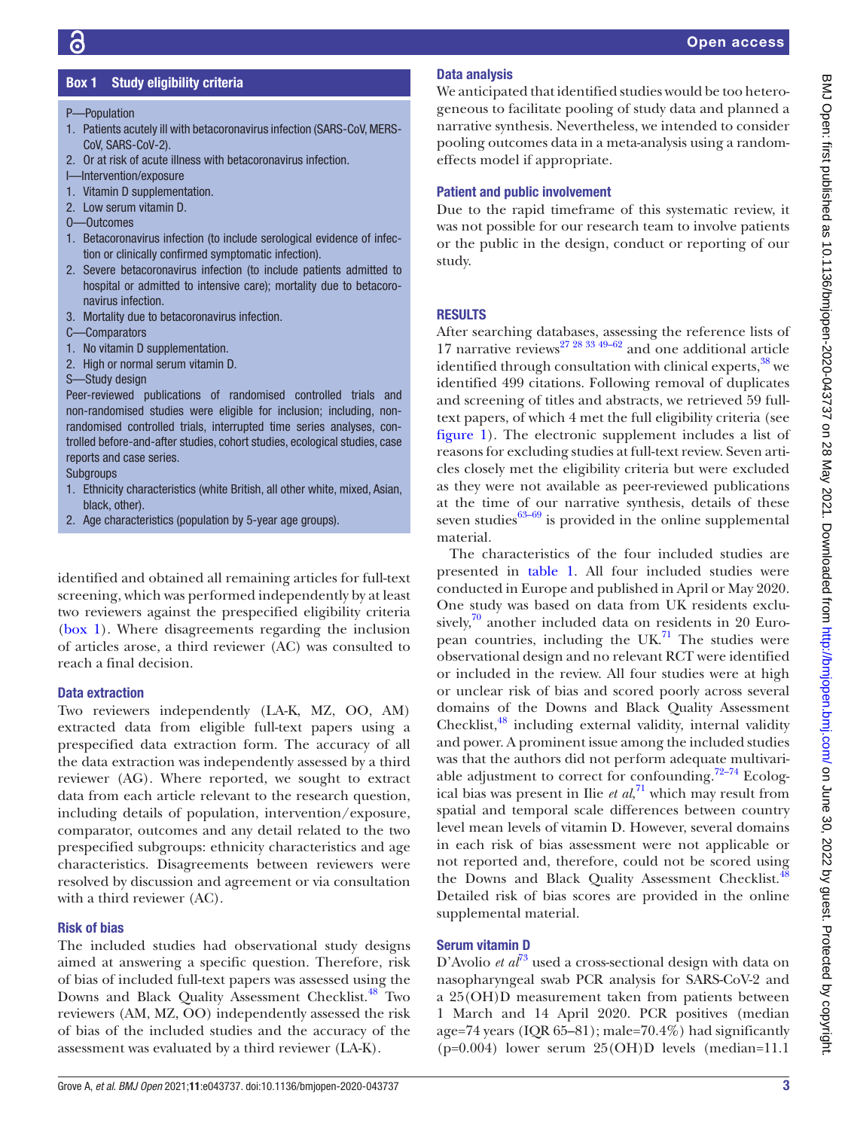# Box 1 Study eligibility criteria

- <span id="page-2-0"></span>P—Population
- 1. Patients acutely ill with betacoronavirus infection (SARS-CoV, MERS-CoV, SARS-CoV-2).
- 2. Or at risk of acute illness with betacoronavirus infection.
- I—Intervention/exposure
- 1. Vitamin D supplementation.
- 2. Low serum vitamin D.
- O—Outcomes
- 1. Betacoronavirus infection (to include serological evidence of infection or clinically confirmed symptomatic infection).
- 2. Severe betacoronavirus infection (to include patients admitted to hospital or admitted to intensive care); mortality due to betacoronavirus infection.
- 3. Mortality due to betacoronavirus infection.
- C—Comparators
- 1. No vitamin D supplementation.
- 2. High or normal serum vitamin D.
- S—Study design

Peer-reviewed publications of randomised controlled trials and non-randomised studies were eligible for inclusion; including, nonrandomised controlled trials, interrupted time series analyses, controlled before-and-after studies, cohort studies, ecological studies, case reports and case series.

Subgroups

- 1. Ethnicity characteristics (white British, all other white, mixed, Asian, black, other).
- 2. Age characteristics (population by 5-year age groups).

identified and obtained all remaining articles for full-text screening, which was performed independently by at least two reviewers against the prespecified eligibility criteria ([box](#page-2-0) 1). Where disagreements regarding the inclusion of articles arose, a third reviewer (AC) was consulted to reach a final decision.

# Data extraction

Two reviewers independently (LA-K, MZ, OO, AM) extracted data from eligible full-text papers using a prespecified data extraction form. The accuracy of all the data extraction was independently assessed by a third reviewer (AG). Where reported, we sought to extract data from each article relevant to the research question, including details of population, intervention/exposure, comparator, outcomes and any detail related to the two prespecified subgroups: ethnicity characteristics and age characteristics. Disagreements between reviewers were resolved by discussion and agreement or via consultation with a third reviewer (AC).

# Risk of bias

The included studies had observational study designs aimed at answering a specific question. Therefore, risk of bias of included full-text papers was assessed using the Downs and Black Quality Assessment Checklist.<sup>[48](#page-7-17)</sup> Two reviewers (AM, MZ, OO) independently assessed the risk of bias of the included studies and the accuracy of the assessment was evaluated by a third reviewer (LA-K).

# Data analysis

We anticipated that identified studies would be too heterogeneous to facilitate pooling of study data and planned a narrative synthesis. Nevertheless, we intended to consider pooling outcomes data in a meta-analysis using a randomeffects model if appropriate.

# Patient and public involvement

Due to the rapid timeframe of this systematic review, it was not possible for our research team to involve patients or the public in the design, conduct or reporting of our study.

# **RESULTS**

After searching databases, assessing the reference lists of 17 narrative reviews<sup>[27 28 33 49–62](#page-7-18)</sup> and one additional article identified through consultation with clinical experts,<sup>[38](#page-7-8)</sup> we identified 499 citations. Following removal of duplicates and screening of titles and abstracts, we retrieved 59 fulltext papers, of which 4 met the full eligibility criteria (see [figure](#page-3-0) 1). The electronic supplement includes a list of reasons for excluding studies at full-text review. Seven articles closely met the eligibility criteria but were excluded as they were not available as peer-reviewed publications at the time of our narrative synthesis, details of these seven studies $63-69$  is provided in the online supplemental material.

The characteristics of the four included studies are presented in [table](#page-4-0) 1. All four included studies were conducted in Europe and published in April or May 2020. One study was based on data from UK residents exclusively, $\frac{70}{10}$  $\frac{70}{10}$  $\frac{70}{10}$  another included data on residents in 20 European countries, including the UK $^{71}$  The studies were observational design and no relevant RCT were identified or included in the review. All four studies were at high or unclear risk of bias and scored poorly across several domains of the Downs and Black Quality Assessment Checklist,<sup>[48](#page-7-17)</sup> including external validity, internal validity and power. A prominent issue among the included studies was that the authors did not perform adequate multivari-able adjustment to correct for confounding.<sup>[72–74](#page-8-2)</sup> Ecological bias was present in Ilie *et al*, [71](#page-8-1) which may result from spatial and temporal scale differences between country level mean levels of vitamin D. However, several domains in each risk of bias assessment were not applicable or not reported and, therefore, could not be scored using the Downs and Black Quality Assessment Checklist.<sup>[48](#page-7-17)</sup> Detailed risk of bias scores are provided in the online supplemental material.

# Serum vitamin D

D'Avolio *et al*<sup>[73](#page-8-3)</sup> used a cross-sectional design with data on nasopharyngeal swab PCR analysis for SARS-CoV-2 and a 25(OH)D measurement taken from patients between 1 March and 14 April 2020. PCR positives (median age=74 years (IQR 65–81); male=70.4%) had significantly (p=0.004) lower serum 25(OH)D levels (median=11.1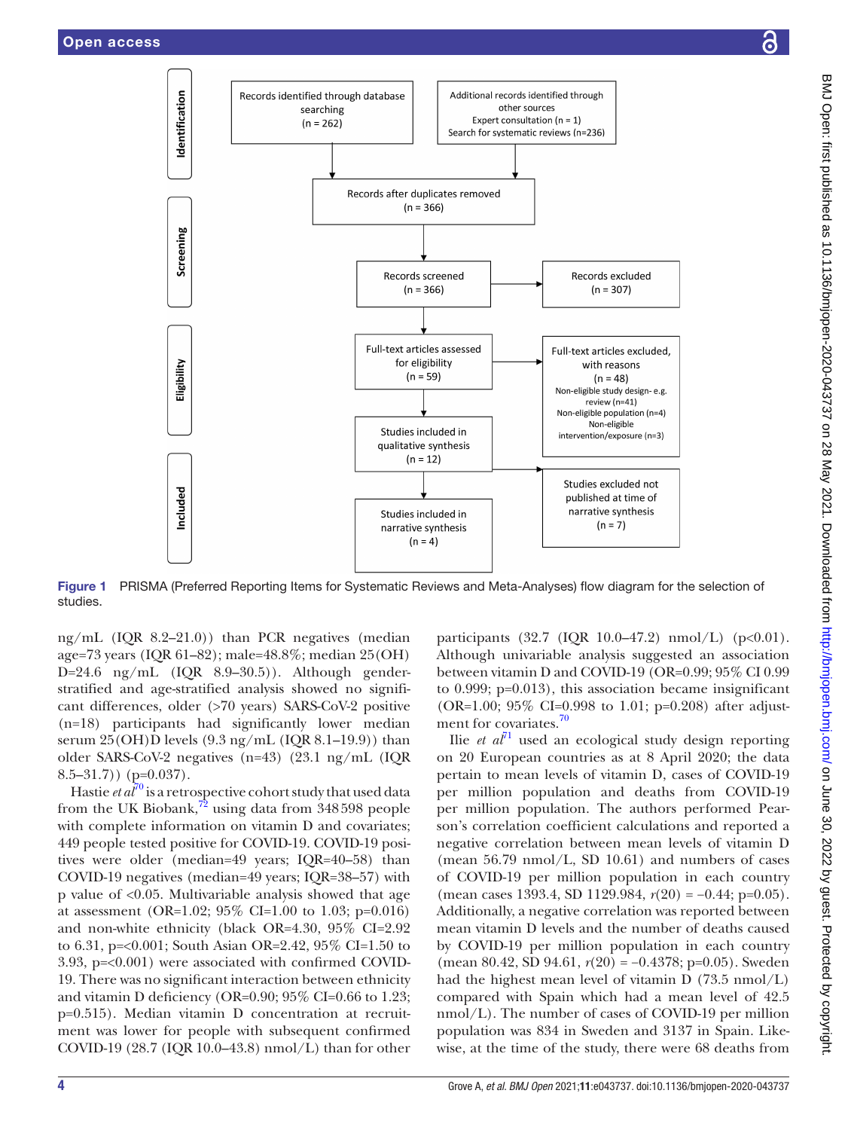



Figure 1 PRISMA (Preferred Reporting Items for Systematic Reviews and Meta-Analyses) flow diagram for the selection of studies.

ng/mL (IQR 8.2–21.0)) than PCR negatives (median age=73 years (IQR 61–82); male=48.8%; median 25(OH) D=24.6 ng/mL (IQR 8.9–30.5)). Although genderstratified and age-stratified analysis showed no significant differences, older (>70 years) SARS-CoV-2 positive (n=18) participants had significantly lower median serum  $25(OH)D$  levels  $(9.3 \text{ ng/mL } (IQR 8.1–19.9))$  than older SARS-CoV-2 negatives (n=43) (23.1 ng/mL (IQR  $8.5 - 31.7)$  (p=0.037).

Hastie *et al*<sup>70</sup> is a retrospective cohort study that used data from the UK Biobank, $^{72}$  using data from 348598 people with complete information on vitamin D and covariates; 449 people tested positive for COVID-19. COVID-19 positives were older (median=49 years; IQR=40–58) than COVID-19 negatives (median=49 years; IQR=38–57) with p value of <0.05. Multivariable analysis showed that age at assessment (OR=1.02; 95% CI=1.00 to 1.03; p=0.016) and non-white ethnicity (black OR=4.30, 95% CI=2.92 to 6.31, p=<0.001; South Asian OR=2.42, 95% CI=1.50 to 3.93, p=<0.001) were associated with confirmed COVID-19. There was no significant interaction between ethnicity and vitamin D deficiency (OR=0.90; 95% CI=0.66 to 1.23; p=0.515). Median vitamin D concentration at recruitment was lower for people with subsequent confirmed COVID-19 (28.7 (IQR 10.0–43.8) nmol/L) than for other

<span id="page-3-0"></span>participants (32.7 (IQR 10.0–47.2) nmol/L) ( $p < 0.01$ ). Although univariable analysis suggested an association between vitamin D and COVID-19 (OR=0.99; 95% CI 0.99 to 0.999; p=0.013), this association became insignificant (OR=1.00; 95% CI=0.998 to 1.01; p=0.208) after adjust-ment for covariates.<sup>[70](#page-8-0)</sup>

Ilie *et al*[71](#page-8-1) used an ecological study design reporting on 20 European countries as at 8 April 2020; the data pertain to mean levels of vitamin D, cases of COVID-19 per million population and deaths from COVID-19 per million population. The authors performed Pearson's correlation coefficient calculations and reported a negative correlation between mean levels of vitamin D (mean 56.79 nmol/L, SD 10.61) and numbers of cases of COVID-19 per million population in each country (mean cases 1393.4, SD 1129.984, *r*(20) = −0.44; p=0.05). Additionally, a negative correlation was reported between mean vitamin D levels and the number of deaths caused by COVID-19 per million population in each country (mean 80.42, SD 94.61, *r*(20) = −0.4378; p=0.05). Sweden had the highest mean level of vitamin D (73.5 nmol/L) compared with Spain which had a mean level of 42.5 nmol/L). The number of cases of COVID-19 per million population was 834 in Sweden and 3137 in Spain. Likewise, at the time of the study, there were 68 deaths from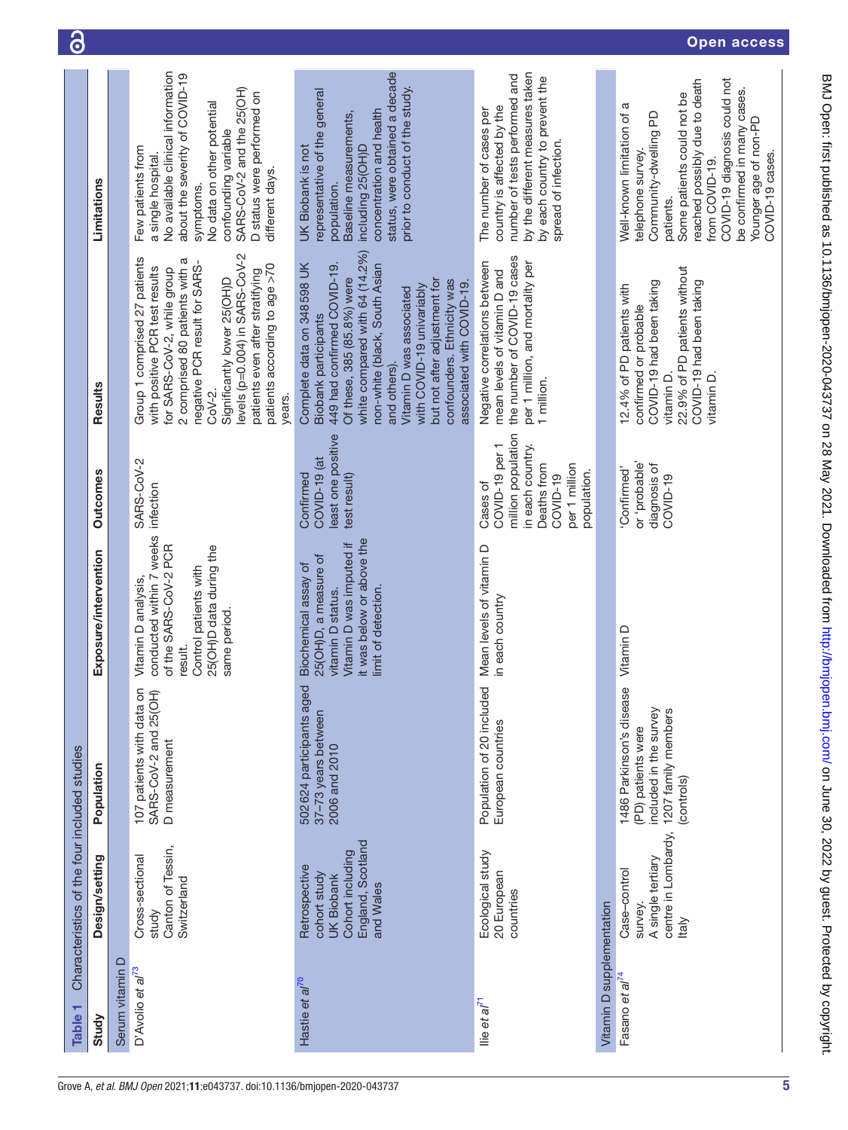<span id="page-4-0"></span>

| Table 1                      | Characteristics of the four included studies                                                             |                                                                                                               |                                                                                                                                                         |                                                                                                                                 |                                                                                                                                                                                                                                                                                                                                                               |                                                                                                                                                                                                                                                                                   |
|------------------------------|----------------------------------------------------------------------------------------------------------|---------------------------------------------------------------------------------------------------------------|---------------------------------------------------------------------------------------------------------------------------------------------------------|---------------------------------------------------------------------------------------------------------------------------------|---------------------------------------------------------------------------------------------------------------------------------------------------------------------------------------------------------------------------------------------------------------------------------------------------------------------------------------------------------------|-----------------------------------------------------------------------------------------------------------------------------------------------------------------------------------------------------------------------------------------------------------------------------------|
| Study                        | Design/setting                                                                                           | Population                                                                                                    | Exposure/intervention                                                                                                                                   | <b>Outcomes</b>                                                                                                                 | Results                                                                                                                                                                                                                                                                                                                                                       | Limitations                                                                                                                                                                                                                                                                       |
| $\Omega$<br>Serum vitamin    |                                                                                                          |                                                                                                               |                                                                                                                                                         |                                                                                                                                 |                                                                                                                                                                                                                                                                                                                                                               |                                                                                                                                                                                                                                                                                   |
| D'Avolio et al <sup>73</sup> | Canton of Tessin,<br>Cross-sectional<br>Switzerland<br>study                                             | 107 patients with data on<br>SARS-CoV-2 and 25(OH)<br>D measurement                                           | conducted within 7 weeks<br>of the SARS-CoV-2 PCR<br>25(OH)D data during the<br>Control patients with<br>Vitamin D analysis,<br>same period.<br>result. | SARS-CoV-2<br>infection                                                                                                         | levels (p=0.004) in SARS-CoV-2<br>Group 1 comprised 27 patients<br>2 comprised 80 patients with a<br>negative PCR result for SARS-<br>patients according to age >70<br>with positive PCR test results<br>for SARS-CoV-2, while group<br>patients even after stratifying<br>Significantly lower 25(OH)D<br>CoV-2.<br>years.                                    | No available clinical information<br>about the severity of COVID-19<br>SARS-CoV-2 and the 25(OH)<br>D status were performed on<br>No data on other potential<br>confounding variable<br>Few patients from<br>a single hospital.<br>different days.<br>symptoms.                   |
| Hastie et al <sup>70</sup>   | England, Scotland<br>Cohort including<br>Retrospective<br>cohort study<br><b>UK Biobank</b><br>and Wales | 502 624 participants aged<br>37-73 years between<br>2006 and 2010                                             | it was below or above the<br>Vitamin D was imputed if<br>25(OH)D, a measure of<br>Biochemical assay of<br>limit of detection.<br>vitamin D status.      | least one positive<br>COVID-19 (at<br>Confirmed<br>test result)                                                                 | white compared with 64 (14.2%)<br>Complete data on 348598 UK<br>449 had confirmed COVID-19.<br>non-white (black, South Asian<br>Of these, 385 (85.8%) were<br>but not after adjustment for<br>confounders. Ethnicity was<br>associated with COVID-19.<br>with COVID-19 univariably<br>Vitamin D was associated<br><b>Biobank participants</b><br>and others). | status, were obtained a decade<br>prior to conduct of the study.<br>representative of the general<br>concentration and health<br>Baseline measurements,<br>UK Biobank is not<br>including 25(OH)D<br>population.                                                                  |
| llie et al <sup>71</sup>     | Ecological study<br>20 European<br>countries                                                             | Population of 20 included<br>European countries                                                               | Mean levels of vitamin D<br>in each country                                                                                                             | million population<br>COVID-19 per 1<br>in each country.<br>Deaths from<br>per 1 million<br>population.<br>COVID-19<br>Cases of | the number of COVID-19 cases<br>per 1 million, and mortality per<br>Negative correlations between<br>mean levels of vitamin D and<br>1 million.                                                                                                                                                                                                               | by the different measures taken<br>number of tests performed and<br>by each country to prevent the<br>country is affected by the<br>The number of cases per<br>spread of infection.                                                                                               |
| Vitamin D supplementation    |                                                                                                          |                                                                                                               |                                                                                                                                                         |                                                                                                                                 |                                                                                                                                                                                                                                                                                                                                                               |                                                                                                                                                                                                                                                                                   |
| Fasano et al <sup>74</sup>   | centre in Lombardy,<br>A single tertiary<br>Case-control<br>survey<br><b>Italy</b>                       | 1486 Parkinson's disease<br>included in the survey<br>1207 family members<br>(PD) patients were<br>(controls) | Vitamin D                                                                                                                                               | probable'<br>diagnosis of<br>Confirmed'<br>COVID-19                                                                             | 22.9% of PD patients without<br>COVID-19 had been taking<br>COVID-19 had been taking<br>12.4% of PD patients with<br>confirmed or probable<br>vitamin D.<br>vitamin D.                                                                                                                                                                                        | COVID-19 diagnosis could not<br>reached possibly due to death<br>be confirmed in many cases.<br>Some patients could not be<br>Well-known limitation of a<br>Community-dwelling PD<br>Younger age of non-PD<br>COVID-19 cases.<br>telephone survey.<br>from COVID-19.<br>patients. |

ි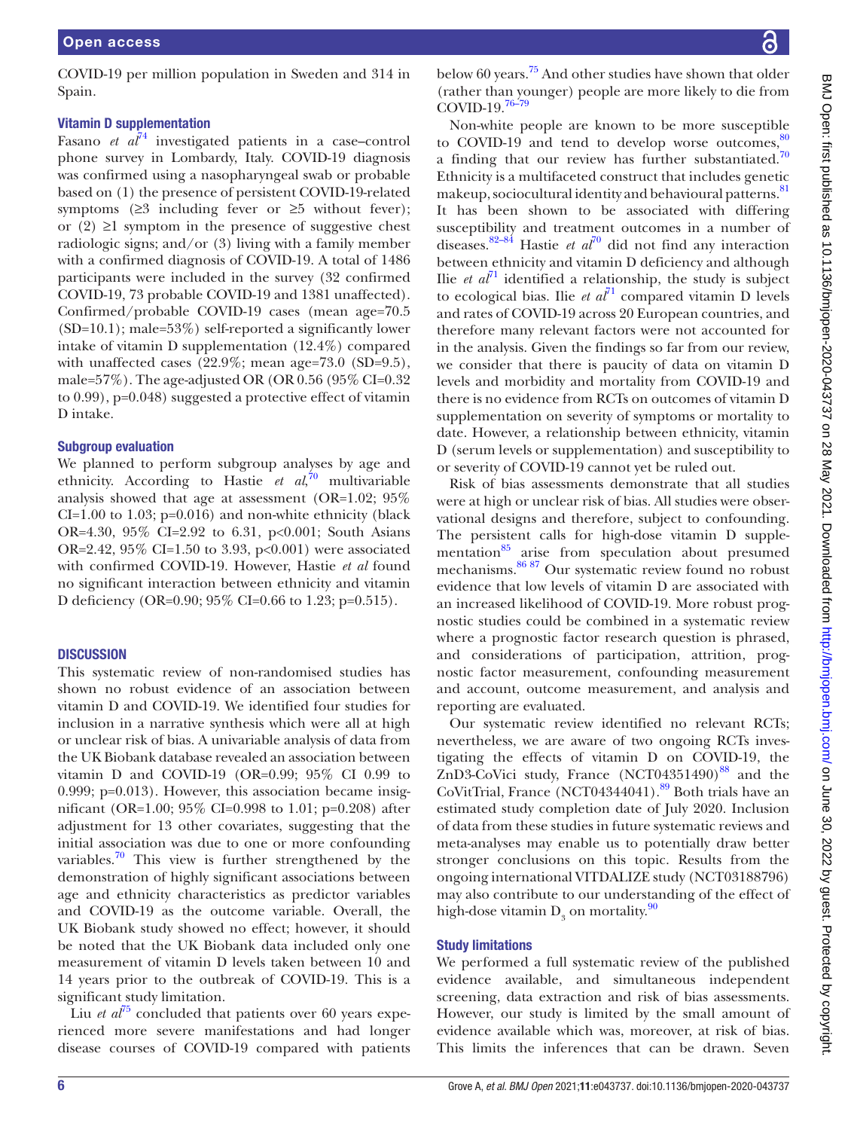COVID-19 per million population in Sweden and 314 in Spain.

# Vitamin D supplementation

Fasano *et*  $a\bar{l}^4$  investigated patients in a case–control phone survey in Lombardy, Italy. COVID-19 diagnosis was confirmed using a nasopharyngeal swab or probable based on (1) the presence of persistent COVID-19-related symptoms  $(≥3$  including fever or  $≥5$  without fever); or  $(2) \geq 1$  symptom in the presence of suggestive chest radiologic signs; and/or (3) living with a family member with a confirmed diagnosis of COVID-19. A total of 1486 participants were included in the survey (32 confirmed COVID-19, 73 probable COVID-19 and 1381 unaffected). Confirmed/probable COVID-19 cases (mean age=70.5 (SD=10.1); male=53%) self-reported a significantly lower intake of vitamin D supplementation (12.4%) compared with unaffected cases  $(22.9\%; \text{mean age} = 73.0 \text{ (SD} = 9.5),$ male= $57\%$ ). The age-adjusted OR (OR 0.56 (95% CI=0.32) to 0.99), p=0.048) suggested a protective effect of vitamin D intake.

# Subgroup evaluation

We planned to perform subgroup analyses by age and ethnicity. According to Hastie *et al*, [70](#page-8-0) multivariable analysis showed that age at assessment (OR=1.02; 95%  $CI=1.00$  to 1.03; p=0.016) and non-white ethnicity (black OR=4.30, 95% CI=2.92 to 6.31, p<0.001; South Asians OR=2.42, 95% CI=1.50 to 3.93, p<0.001) were associated with confirmed COVID-19. However, Hastie *et al* found no significant interaction between ethnicity and vitamin D deficiency (OR=0.90; 95% CI=0.66 to 1.23; p=0.515).

# **DISCUSSION**

This systematic review of non-randomised studies has shown no robust evidence of an association between vitamin D and COVID-19. We identified four studies for inclusion in a narrative synthesis which were all at high or unclear risk of bias. A univariable analysis of data from the UK Biobank database revealed an association between vitamin D and COVID-19 (OR=0.99; 95% CI 0.99 to 0.999; p=0.013). However, this association became insignificant (OR=1.00; 95% CI=0.998 to 1.01; p=0.208) after adjustment for 13 other covariates, suggesting that the initial association was due to one or more confounding variables.<sup>70</sup> This view is further strengthened by the demonstration of highly significant associations between age and ethnicity characteristics as predictor variables and COVID-19 as the outcome variable. Overall, the UK Biobank study showed no effect; however, it should be noted that the UK Biobank data included only one measurement of vitamin D levels taken between 10 and 14 years prior to the outbreak of COVID-19. This is a significant study limitation.

Liu *et al*<sup>[75](#page-8-5)</sup> concluded that patients over 60 years experienced more severe manifestations and had longer disease courses of COVID-19 compared with patients

below 60 years.<sup>[75](#page-8-5)</sup> And other studies have shown that older (rather than younger) people are more likely to die from COVID-19.[76–79](#page-8-6)

Non-white people are known to be more susceptible to COVID-19 and tend to develop worse outcomes, $\frac{8}{3}$ a finding that our review has further substantiated.<sup>[70](#page-8-0)</sup> Ethnicity is a multifaceted construct that includes genetic makeup, sociocultural identity and behavioural patterns.<sup>[81](#page-8-8)</sup> It has been shown to be associated with differing susceptibility and treatment outcomes in a number of diseases.[82–84](#page-8-9) Hastie *et al*[70](#page-8-0) did not find any interaction between ethnicity and vitamin D deficiency and although Ilie *et*  $a^{\overline{j}1}$  identified a relationship, the study is subject to ecological bias. Ilie *et*  $a\bar{l}$  compared vitamin D levels and rates of COVID-19 across 20 European countries, and therefore many relevant factors were not accounted for in the analysis. Given the findings so far from our review, we consider that there is paucity of data on vitamin D levels and morbidity and mortality from COVID-19 and there is no evidence from RCTs on outcomes of vitamin D supplementation on severity of symptoms or mortality to date. However, a relationship between ethnicity, vitamin D (serum levels or supplementation) and susceptibility to or severity of COVID-19 cannot yet be ruled out.

Risk of bias assessments demonstrate that all studies were at high or unclear risk of bias. All studies were observational designs and therefore, subject to confounding. The persistent calls for high-dose vitamin D supplementation<sup>85</sup> arise from speculation about presumed mechanisms[.86 87](#page-8-11) Our systematic review found no robust evidence that low levels of vitamin D are associated with an increased likelihood of COVID-19. More robust prognostic studies could be combined in a systematic review where a prognostic factor research question is phrased, and considerations of participation, attrition, prognostic factor measurement, confounding measurement and account, outcome measurement, and analysis and reporting are evaluated.

Our systematic review identified no relevant RCTs; nevertheless, we are aware of two ongoing RCTs investigating the effects of vitamin D on COVID-19, the ZnD3-CoVici study, France  $(NT04351490)^{88}$  and the CoVitTrial, France (NCT04344041).<sup>89</sup> Both trials have an estimated study completion date of July 2020. Inclusion of data from these studies in future systematic reviews and meta-analyses may enable us to potentially draw better stronger conclusions on this topic. Results from the ongoing international VITDALIZE study (NCT03188796) may also contribute to our understanding of the effect of high-dose vitamin  $D_3$  on mortality. $90$ 

# Study limitations

We performed a full systematic review of the published evidence available, and simultaneous independent screening, data extraction and risk of bias assessments. However, our study is limited by the small amount of evidence available which was, moreover, at risk of bias. This limits the inferences that can be drawn. Seven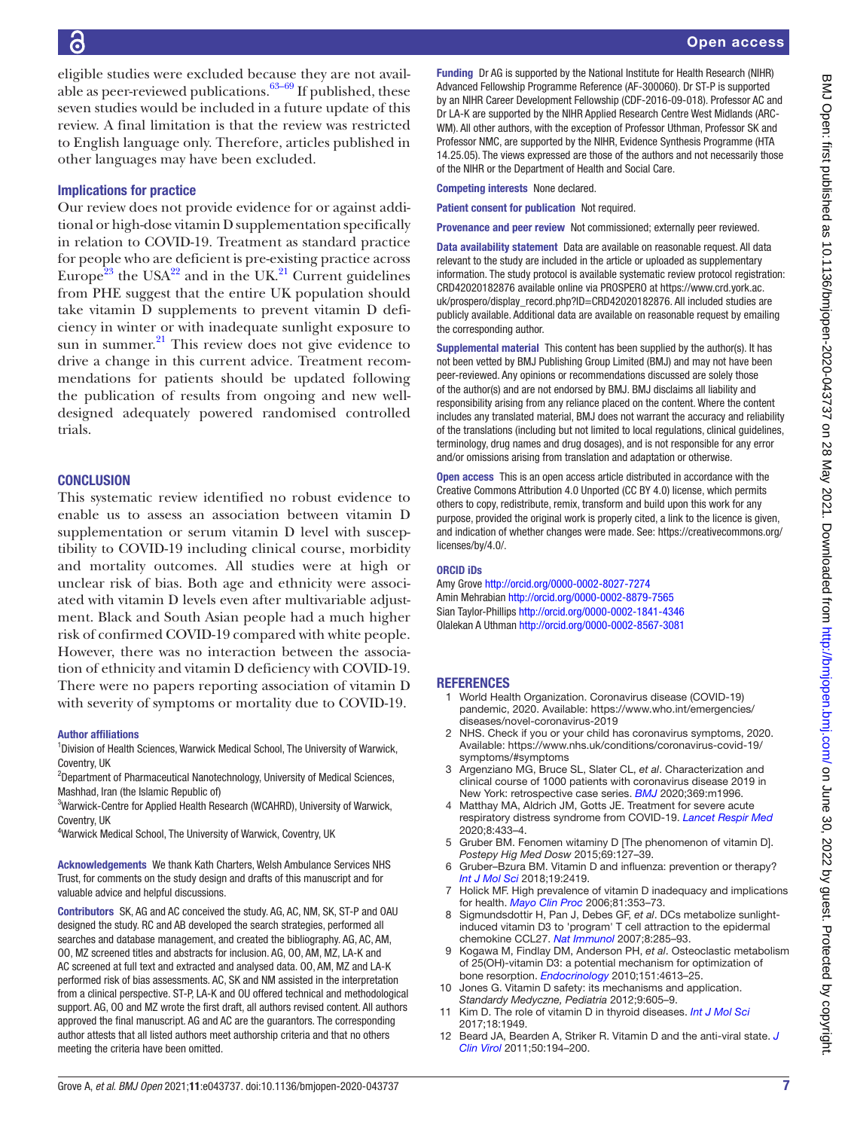eligible studies were excluded because they are not available as peer-reviewed publications. $63-69$  If published, these seven studies would be included in a future update of this review. A final limitation is that the review was restricted to English language only. Therefore, articles published in other languages may have been excluded.

# Implications for practice

Our review does not provide evidence for or against additional or high-dose vitamin D supplementation specifically in relation to COVID-19. Treatment as standard practice for people who are deficient is pre-existing practice across Europe<sup>23</sup> the USA<sup>22</sup> and in the UK.<sup>21</sup> Current guidelines from PHE suggest that the entire UK population should take vitamin D supplements to prevent vitamin D deficiency in winter or with inadequate sunlight exposure to sun in summer. $^{21}$  $^{21}$  $^{21}$  This review does not give evidence to drive a change in this current advice. Treatment recommendations for patients should be updated following the publication of results from ongoing and new welldesigned adequately powered randomised controlled trials.

# **CONCLUSION**

This systematic review identified no robust evidence to enable us to assess an association between vitamin D supplementation or serum vitamin D level with susceptibility to COVID-19 including clinical course, morbidity and mortality outcomes. All studies were at high or unclear risk of bias. Both age and ethnicity were associated with vitamin D levels even after multivariable adjustment. Black and South Asian people had a much higher risk of confirmed COVID-19 compared with white people. However, there was no interaction between the association of ethnicity and vitamin D deficiency with COVID-19. There were no papers reporting association of vitamin D with severity of symptoms or mortality due to COVID-19.

#### Author affiliations

<sup>1</sup> Division of Health Sciences, Warwick Medical School, The University of Warwick, Coventry, UK

<sup>2</sup>Department of Pharmaceutical Nanotechnology, University of Medical Sciences, Mashhad, Iran (the Islamic Republic of)

<sup>3</sup>Warwick-Centre for Applied Health Research (WCAHRD), University of Warwick, Coventry, UK

<sup>4</sup>Warwick Medical School, The University of Warwick, Coventry, UK

Acknowledgements We thank Kath Charters, Welsh Ambulance Services NHS Trust, for comments on the study design and drafts of this manuscript and for valuable advice and helpful discussions.

Contributors SK, AG and AC conceived the study. AG, AC, NM, SK, ST-P and OAU designed the study. RC and AB developed the search strategies, performed all searches and database management, and created the bibliography. AG, AC, AM, OO, MZ screened titles and abstracts for inclusion. AG, OO, AM, MZ, LA-K and AC screened at full text and extracted and analysed data. OO, AM, MZ and LA-K performed risk of bias assessments. AC, SK and NM assisted in the interpretation from a clinical perspective. ST-P, LA-K and OU offered technical and methodological support. AG, OO and MZ wrote the first draft, all authors revised content. All authors approved the final manuscript. AG and AC are the guarantors. The corresponding author attests that all listed authors meet authorship criteria and that no others meeting the criteria have been omitted.

Funding Dr AG is supported by the National Institute for Health Research (NIHR) Advanced Fellowship Programme Reference (AF-300060). Dr ST-P is supported by an NIHR Career Development Fellowship (CDF-2016-09-018). Professor AC and Dr LA-K are supported by the NIHR Applied Research Centre West Midlands (ARC-WM). All other authors, with the exception of Professor Uthman, Professor SK and Professor NMC, are supported by the NIHR, Evidence Synthesis Programme (HTA 14.25.05). The views expressed are those of the authors and not necessarily those of the NIHR or the Department of Health and Social Care.

Competing interests None declared.

Patient consent for publication Not required.

Provenance and peer review Not commissioned; externally peer reviewed.

Data availability statement Data are available on reasonable request. All data relevant to the study are included in the article or uploaded as supplementary information. The study protocol is available systematic review protocol registration: CRD42020182876 available online via PROSPERO at [https://www.crd.york.ac.](https://www.crd.york.ac.uk/prospero/display_record.php?ID=CRD42020182876) [uk/prospero/display\\_record.php?ID=CRD42020182876.](https://www.crd.york.ac.uk/prospero/display_record.php?ID=CRD42020182876) All included studies are publicly available. Additional data are available on reasonable request by emailing the corresponding author.

Supplemental material This content has been supplied by the author(s). It has not been vetted by BMJ Publishing Group Limited (BMJ) and may not have been peer-reviewed. Any opinions or recommendations discussed are solely those of the author(s) and are not endorsed by BMJ. BMJ disclaims all liability and responsibility arising from any reliance placed on the content. Where the content includes any translated material, BMJ does not warrant the accuracy and reliability of the translations (including but not limited to local regulations, clinical guidelines, terminology, drug names and drug dosages), and is not responsible for any error and/or omissions arising from translation and adaptation or otherwise.

Open access This is an open access article distributed in accordance with the Creative Commons Attribution 4.0 Unported (CC BY 4.0) license, which permits others to copy, redistribute, remix, transform and build upon this work for any purpose, provided the original work is properly cited, a link to the licence is given, and indication of whether changes were made. See: [https://creativecommons.org/](https://creativecommons.org/licenses/by/4.0/) [licenses/by/4.0/](https://creativecommons.org/licenses/by/4.0/).

#### ORCID iDs

Amy Grove <http://orcid.org/0000-0002-8027-7274> Amin Mehrabian<http://orcid.org/0000-0002-8879-7565> Sian Taylor-Phillips <http://orcid.org/0000-0002-1841-4346> Olalekan A Uthman <http://orcid.org/0000-0002-8567-3081>

#### **REFERENCES**

- <span id="page-6-0"></span>1 World Health Organization. Coronavirus disease (COVID-19) pandemic, 2020. Available: [https://www.who.int/emergencies/](https://www.who.int/emergencies/diseases/novel-coronavirus-2019) [diseases/novel-coronavirus-2019](https://www.who.int/emergencies/diseases/novel-coronavirus-2019)
- <span id="page-6-1"></span>2 NHS. Check if you or your child has coronavirus symptoms, 2020. Available: [https://www.nhs.uk/conditions/coronavirus-covid-19/](https://www.nhs.uk/conditions/coronavirus-covid-19/symptoms/#symptoms) [symptoms/#symptoms](https://www.nhs.uk/conditions/coronavirus-covid-19/symptoms/#symptoms)
- 3 Argenziano MG, Bruce SL, Slater CL, *et al*. Characterization and clinical course of 1000 patients with coronavirus disease 2019 in New York: retrospective case series. *[BMJ](http://dx.doi.org/10.1136/bmj.m1996)* 2020;369:m1996.
- <span id="page-6-2"></span>4 Matthay MA, Aldrich JM, Gotts JE. Treatment for severe acute respiratory distress syndrome from COVID-19. *[Lancet Respir Med](http://dx.doi.org/10.1016/S2213-2600(20)30127-2)* 2020;8:433–4.
- <span id="page-6-3"></span>5 Gruber BM. Fenomen witaminy D [The phenomenon of vitamin D]. *Postepy Hig Med Dosw* 2015;69:127–39.
- 6 Gruber–Bzura BM. Vitamin D and influenza: prevention or therapy? *[Int J Mol Sci](http://dx.doi.org/10.3390/ijms19082419)* 2018;19:2419.
- <span id="page-6-4"></span>7 Holick MF. High prevalence of vitamin D inadequacy and implications for health. *[Mayo Clin Proc](http://dx.doi.org/10.4065/81.3.353)* 2006;81:353–73.
- <span id="page-6-5"></span>8 Sigmundsdottir H, Pan J, Debes GF, *et al*. DCs metabolize sunlightinduced vitamin D3 to 'program' T cell attraction to the epidermal chemokine CCL27. *[Nat Immunol](http://dx.doi.org/10.1038/ni1433)* 2007;8:285–93.
- 9 Kogawa M, Findlay DM, Anderson PH, *et al*. Osteoclastic metabolism of 25(OH)-vitamin D3: a potential mechanism for optimization of bone resorption. *[Endocrinology](http://dx.doi.org/10.1210/en.2010-0334)* 2010;151:4613–25.
- <span id="page-6-6"></span>10 Jones G. Vitamin D safety: its mechanisms and application. *Standardy Medyczne, Pediatria* 2012;9:605–9.
- 11 Kim D. The role of vitamin D in thyroid diseases. *[Int J Mol Sci](http://dx.doi.org/10.3390/ijms18091949)* 2017;18:1949.
- 12 Beard JA, Bearden A, Striker R. Vitamin D and the anti-viral state. *[J](http://dx.doi.org/10.1016/j.jcv.2010.12.006)  [Clin Virol](http://dx.doi.org/10.1016/j.jcv.2010.12.006)* 2011;50:194–200.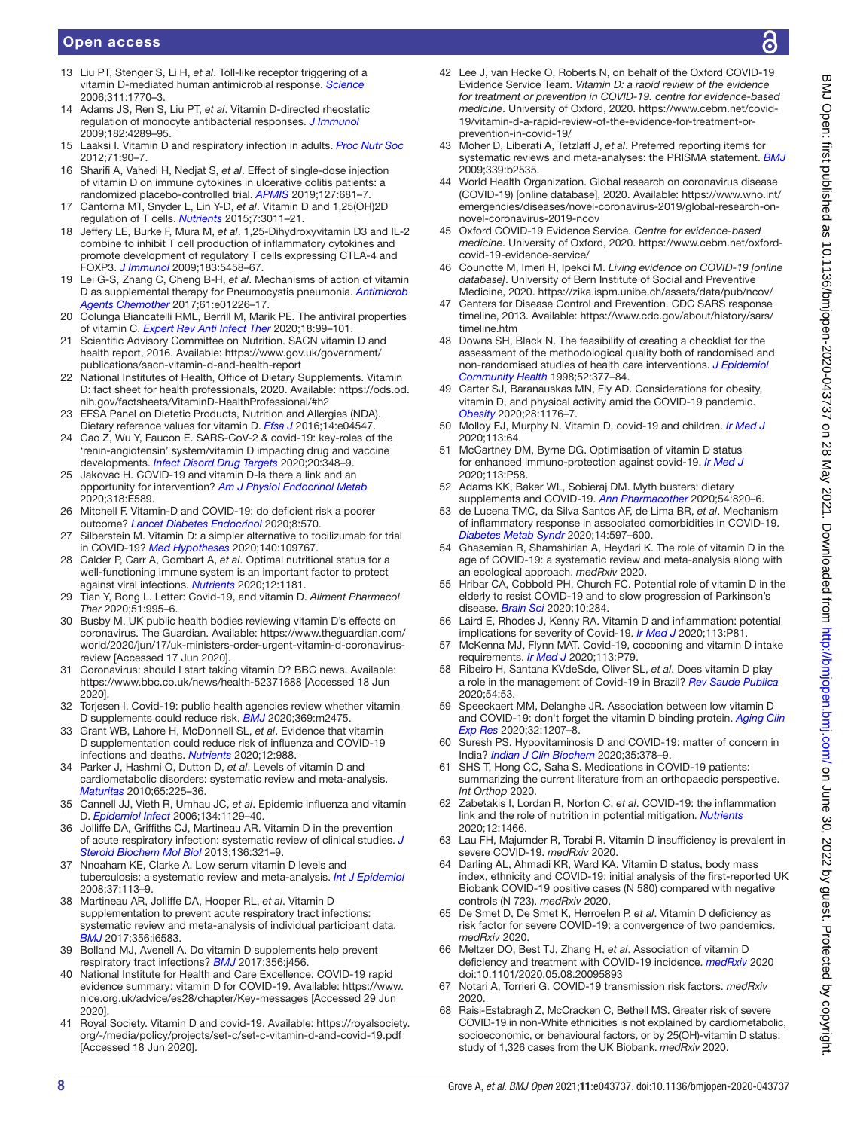# Open access

- 13 Liu PT, Stenger S, Li H, *et al*. Toll-like receptor triggering of a vitamin D-mediated human antimicrobial response. *[Science](http://dx.doi.org/10.1126/science.1123933)* 2006;311:1770–3.
- 14 Adams JS, Ren S, Liu PT, *et al*. Vitamin D-directed rheostatic regulation of monocyte antibacterial responses. *[J Immunol](http://dx.doi.org/10.4049/jimmunol.0803736)* 2009;182:4289–95.
- 15 Laaksi I. Vitamin D and respiratory infection in adults. *[Proc Nutr Soc](http://dx.doi.org/10.1017/S0029665111003351)* 2012;71:90–7.
- 16 Sharifi A, Vahedi H, Nedjat S, *et al*. Effect of single-dose injection of vitamin D on immune cytokines in ulcerative colitis patients: a randomized placebo-controlled trial. *[APMIS](http://dx.doi.org/10.1111/apm.12982)* 2019;127:681–7. 17 Cantorna MT, Snyder L, Lin Y-D, *et al*. Vitamin D and 1,25(OH)2D
- regulation of T cells. *[Nutrients](http://dx.doi.org/10.3390/nu7043011)* 2015;7:3011–21. 18 Jeffery LE, Burke F, Mura M, *et al*. 1,25-Dihydroxyvitamin D3 and IL-2
- combine to inhibit T cell production of inflammatory cytokines and promote development of regulatory T cells expressing CTLA-4 and FOXP3. *[J Immunol](http://dx.doi.org/10.4049/jimmunol.0803217)* 2009;183:5458–67.
- 19 Lei G-S, Zhang C, Cheng B-H, *et al*. Mechanisms of action of vitamin D as supplemental therapy for Pneumocystis pneumonia. *[Antimicrob](http://dx.doi.org/10.1128/AAC.01226-17)  [Agents Chemother](http://dx.doi.org/10.1128/AAC.01226-17)* 2017;61:e01226–17.
- 20 Colunga Biancatelli RML, Berrill M, Marik PE. The antiviral properties of vitamin C. *[Expert Rev Anti Infect Ther](http://dx.doi.org/10.1080/14787210.2020.1706483)* 2020;18:99–101.
- <span id="page-7-0"></span>21 Scientific Advisory Committee on Nutrition. SACN vitamin D and health report, 2016. Available: [https://www.gov.uk/government/](https://www.gov.uk/government/publications/sacn-vitamin-d-and-health-report) [publications/sacn-vitamin-d-and-health-report](https://www.gov.uk/government/publications/sacn-vitamin-d-and-health-report)
- <span id="page-7-1"></span>22 National Institutes of Health, Office of Dietary Supplements. Vitamin D: fact sheet for health professionals, 2020. Available: [https://ods.od.](https://ods.od.nih.gov/factsheets/VitaminD-HealthProfessional/#h2) [nih.gov/factsheets/VitaminD-HealthProfessional/#h2](https://ods.od.nih.gov/factsheets/VitaminD-HealthProfessional/#h2)
- <span id="page-7-2"></span>23 EFSA Panel on Dietetic Products, Nutrition and Allergies (NDA). Dietary reference values for vitamin D. *[Efsa J](http://dx.doi.org/10.2903/j.efsa.2016.4547)* 2016;14:e04547.
- <span id="page-7-3"></span>24 Cao Z, Wu Y, Faucon E. SARS-CoV-2 & covid-19: key-roles of the 'renin-angiotensin' system/vitamin D impacting drug and vaccine developments. *[Infect Disord Drug Targets](http://dx.doi.org/10.2174/1871526520999200505174704)* 2020;20:348–9.
- 25 Jakovac H. COVID-19 and vitamin D-Is there a link and an opportunity for intervention? *[Am J Physiol Endocrinol Metab](http://dx.doi.org/10.1152/ajpendo.00138.2020)* 2020;318:E589.
- 26 Mitchell F. Vitamin-D and COVID-19: do deficient risk a poorer outcome? *[Lancet Diabetes Endocrinol](http://dx.doi.org/10.1016/S2213-8587(20)30183-2)* 2020;8:570.
- <span id="page-7-18"></span>27 Silberstein M. Vitamin D: a simpler alternative to tocilizumab for trial in COVID-19? *[Med Hypotheses](http://dx.doi.org/10.1016/j.mehy.2020.109767)* 2020;140:109767.
- 28 Calder P, Carr A, Gombart A, *et al*. Optimal nutritional status for a well-functioning immune system is an important factor to protect against viral infections. *[Nutrients](http://dx.doi.org/10.3390/nu12041181)* 2020;12:1181.
- 29 Tian Y, Rong L. Letter: Covid-19, and vitamin D. *Aliment Pharmacol Ther* 2020;51:995–6.
- <span id="page-7-4"></span>30 Busby M. UK public health bodies reviewing vitamin D's effects on coronavirus. The Guardian. Available: [https://www.theguardian.com/](https://www.theguardian.com/world/2020/jun/17/uk-ministers-order-urgent-vitamin-d-coronavirus-review) [world/2020/jun/17/uk-ministers-order-urgent-vitamin-d-coronavirus](https://www.theguardian.com/world/2020/jun/17/uk-ministers-order-urgent-vitamin-d-coronavirus-review)[review](https://www.theguardian.com/world/2020/jun/17/uk-ministers-order-urgent-vitamin-d-coronavirus-review) [Accessed 17 Jun 2020].
- 31 Coronavirus: should I start taking vitamin D? BBC news. Available: <https://www.bbc.co.uk/news/health-52371688> [Accessed 18 Jun 2020].
- 32 Torjesen I. Covid-19: public health agencies review whether vitamin D supplements could reduce risk. *[BMJ](http://dx.doi.org/10.1136/bmj.m2475)* 2020;369:m2475.
- <span id="page-7-5"></span>33 Grant WB, Lahore H, McDonnell SL, *et al*. Evidence that vitamin D supplementation could reduce risk of influenza and COVID-19 infections and deaths. *[Nutrients](http://dx.doi.org/10.3390/nu12040988)* 2020;12:988.
- <span id="page-7-6"></span>34 Parker J, Hashmi O, Dutton D, *et al*. Levels of vitamin D and cardiometabolic disorders: systematic review and meta-analysis. *[Maturitas](http://dx.doi.org/10.1016/j.maturitas.2009.12.013)* 2010;65:225–36.
- <span id="page-7-7"></span>35 Cannell JJ, Vieth R, Umhau JC, *et al*. Epidemic influenza and vitamin D. *[Epidemiol Infect](http://dx.doi.org/10.1017/S0950268806007175)* 2006;134:1129–40.
- 36 Jolliffe DA, Griffiths CJ, Martineau AR. Vitamin D in the prevention of acute respiratory infection: systematic review of clinical studies. *[J](http://dx.doi.org/10.1016/j.jsbmb.2012.11.017)  [Steroid Biochem Mol Biol](http://dx.doi.org/10.1016/j.jsbmb.2012.11.017)* 2013;136:321–9.
- 37 Nnoaham KE, Clarke A. Low serum vitamin D levels and tuberculosis: a systematic review and meta-analysis. *[Int J Epidemiol](http://dx.doi.org/10.1093/ije/dym247)* 2008;37:113–9.
- <span id="page-7-8"></span>38 Martineau AR, Jolliffe DA, Hooper RL, *et al*. Vitamin D supplementation to prevent acute respiratory tract infections: systematic review and meta-analysis of individual participant data. *[BMJ](http://dx.doi.org/10.1136/bmj.i6583)* 2017;356:i6583.
- <span id="page-7-9"></span>39 Bolland MJ, Avenell A. Do vitamin D supplements help prevent respiratory tract infections? *[BMJ](http://dx.doi.org/10.1136/bmj.j456)* 2017;356:j456.
- <span id="page-7-10"></span>40 National Institute for Health and Care Excellence. COVID-19 rapid evidence summary: vitamin D for COVID-19. Available: [https://www.](https://www.nice.org.uk/advice/es28/chapter/Key-messages) [nice.org.uk/advice/es28/chapter/Key-messages](https://www.nice.org.uk/advice/es28/chapter/Key-messages) [Accessed 29 Jun 2020].
- 41 Royal Society. Vitamin D and covid-19. Available: [https://royalsociety.](https://royalsociety.org/-/media/policy/projects/set-c/set-c-vitamin-d-and-covid-19.pdf) [org/-/media/policy/projects/set-c/set-c-vitamin-d-and-covid-19.pdf](https://royalsociety.org/-/media/policy/projects/set-c/set-c-vitamin-d-and-covid-19.pdf) [Accessed 18 Jun 2020].
- <span id="page-7-11"></span>Lee J, van Hecke O, Roberts N, on behalf of the Oxford COVID-19 Evidence Service Team. *Vitamin D: a rapid review of the evidence for treatment or prevention in COVID-19. centre for evidence-based medicine*. University of Oxford, 2020. [https://www.cebm.net/covid-](https://www.cebm.net/covid-19/vitamin-d-a-rapid-review-of-the-evidence-for-treatment-or-prevention-in-covid-19/)[19/vitamin-d-a-rapid-review-of-the-evidence-for-treatment-or](https://www.cebm.net/covid-19/vitamin-d-a-rapid-review-of-the-evidence-for-treatment-or-prevention-in-covid-19/)[prevention-in-covid-19/](https://www.cebm.net/covid-19/vitamin-d-a-rapid-review-of-the-evidence-for-treatment-or-prevention-in-covid-19/)
- <span id="page-7-12"></span>43 Moher D, Liberati A, Tetzlaff J, *et al*. Preferred reporting items for systematic reviews and meta-analyses: the PRISMA statement. *[BMJ](http://dx.doi.org/10.1136/bmj.b2535)* 2009;339:b2535.
- <span id="page-7-13"></span>44 World Health Organization. Global research on coronavirus disease (COVID-19) [online database], 2020. Available: [https://www.who.int/](https://www.who.int/emergencies/diseases/novel-coronavirus-2019/global-research-on-novel-coronavirus-2019-ncov) [emergencies/diseases/novel-coronavirus-2019/global-research-on](https://www.who.int/emergencies/diseases/novel-coronavirus-2019/global-research-on-novel-coronavirus-2019-ncov)[novel-coronavirus-2019-ncov](https://www.who.int/emergencies/diseases/novel-coronavirus-2019/global-research-on-novel-coronavirus-2019-ncov)
- <span id="page-7-14"></span>45 Oxford COVID-19 Evidence Service. *Centre for evidence-based medicine*. University of Oxford, 2020. [https://www.cebm.net/oxford](https://www.cebm.net/oxford-covid-19-evidence-service/)[covid-19-evidence-service/](https://www.cebm.net/oxford-covid-19-evidence-service/)
- <span id="page-7-15"></span>46 Counotte M, Imeri H, Ipekci M. *Living evidence on COVID-19 [online database]*. University of Bern Institute of Social and Preventive Medicine, 2020.<https://zika.ispm.unibe.ch/assets/data/pub/ncov/>
- <span id="page-7-16"></span>47 Centers for Disease Control and Prevention. CDC SARS response timeline, 2013. Available: [https://www.cdc.gov/about/history/sars/](https://www.cdc.gov/about/history/sars/timeline.htm) [timeline.htm](https://www.cdc.gov/about/history/sars/timeline.htm)
- <span id="page-7-17"></span>48 Downs SH, Black N. The feasibility of creating a checklist for the assessment of the methodological quality both of randomised and non-randomised studies of health care interventions. *[J Epidemiol](http://dx.doi.org/10.1136/jech.52.6.377)  [Community Health](http://dx.doi.org/10.1136/jech.52.6.377)* 1998;52:377–84.
- 49 Carter SJ, Baranauskas MN, Fly AD. Considerations for obesity, vitamin D, and physical activity amid the COVID‐19 pandemic. *[Obesity](http://dx.doi.org/10.1002/oby.22838)* 2020;28:1176–7.
- 50 Molloy EJ, Murphy N. Vitamin D, covid-19 and children. *[Ir Med J](http://www.ncbi.nlm.nih.gov/pubmed/32268052)* 2020;113:64.
- 51 McCartney DM, Byrne DG. Optimisation of vitamin D status for enhanced immuno-protection against covid-19. *[Ir Med J](http://www.ncbi.nlm.nih.gov/pubmed/32268051)* 2020;113:P58.
- 52 Adams KK, Baker WL, Sobieraj DM. Myth busters: dietary supplements and COVID-19. *[Ann Pharmacother](http://dx.doi.org/10.1177/1060028020928052)* 2020;54:820–6.
- 53 de Lucena TMC, da Silva Santos AF, de Lima BR, *et al*. Mechanism of inflammatory response in associated comorbidities in COVID-19. *[Diabetes Metab Syndr](http://dx.doi.org/10.1016/j.dsx.2020.05.025)* 2020;14:597–600.
- 54 Ghasemian R, Shamshirian A, Heydari K. The role of vitamin D in the age of COVID-19: a systematic review and meta-analysis along with an ecological approach. *medRxiv* 2020.
- 55 Hribar CA, Cobbold PH, Church FC. Potential role of vitamin D in the elderly to resist COVID-19 and to slow progression of Parkinson's disease. *[Brain Sci](http://dx.doi.org/10.3390/brainsci10050284)* 2020;10:284.
- 56 Laird E, Rhodes J, Kenny RA. Vitamin D and inflammation: potential implications for severity of Covid-19. *[Ir Med J](http://www.ncbi.nlm.nih.gov/pubmed/32603576)* 2020;113:P81.
- 57 McKenna MJ, Flynn MAT. Covid-19, cocooning and vitamin D intake requirements. *[Ir Med J](http://www.ncbi.nlm.nih.gov/pubmed/32603573)* 2020;113:P79.
- 58 Ribeiro H, Santana KVdeSde, Oliver SL, *et al*. Does vitamin D play a role in the management of Covid-19 in Brazil? *[Rev Saude Publica](http://dx.doi.org/10.11606/s1518-8787.2020054002545)* 2020;54:53.
- 59 Speeckaert MM, Delanghe JR. Association between low vitamin D and COVID-19: don't forget the vitamin D binding protein. *[Aging Clin](http://dx.doi.org/10.1007/s40520-020-01607-y)  [Exp Res](http://dx.doi.org/10.1007/s40520-020-01607-y)* 2020;32:1207–8.
- 60 Suresh PS. Hypovitaminosis D and COVID-19: matter of concern in India? *[Indian J Clin Biochem](http://dx.doi.org/10.1007/s12291-020-00894-6)* 2020;35:378–9.
- 61 SHS T, Hong CC, Saha S. Medications in COVID-19 patients: summarizing the current literature from an orthopaedic perspective. *Int Orthop* 2020.
- 62 Zabetakis I, Lordan R, Norton C, *et al*. COVID-19: the inflammation link and the role of nutrition in potential mitigation. *[Nutrients](http://dx.doi.org/10.3390/nu12051466)* 2020;12:1466.
- <span id="page-7-19"></span>63 Lau FH, Majumder R, Torabi R. Vitamin D insufficiency is prevalent in severe COVID-19. *medRxiv* 2020.
- 64 Darling AL, Ahmadi KR, Ward KA. Vitamin D status, body mass index, ethnicity and COVID-19: initial analysis of the first-reported UK Biobank COVID-19 positive cases (N 580) compared with negative controls (N 723). *medRxiv* 2020.
- 65 De Smet D, De Smet K, Herroelen P, *et al*. Vitamin D deficiency as risk factor for severe COVID-19: a convergence of two pandemics. *medRxiv* 2020.
- 66 Meltzer DO, Best TJ, Zhang H, *et al*. Association of vitamin D deficiency and treatment with COVID-19 incidence. *[medRxiv](http://dx.doi.org/10.1101/2020.05.08.20095893)* 2020 doi:10.1101/2020.05.08.20095893
- 67 Notari A, Torrieri G. COVID-19 transmission risk factors. *medRxiv* 2020.
- 68 Raisi-Estabragh Z, McCracken C, Bethell MS. Greater risk of severe COVID-19 in non-White ethnicities is not explained by cardiometabolic, socioeconomic, or behavioural factors, or by 25(OH)-vitamin D status: study of 1,326 cases from the UK Biobank. *medRxiv* 2020.